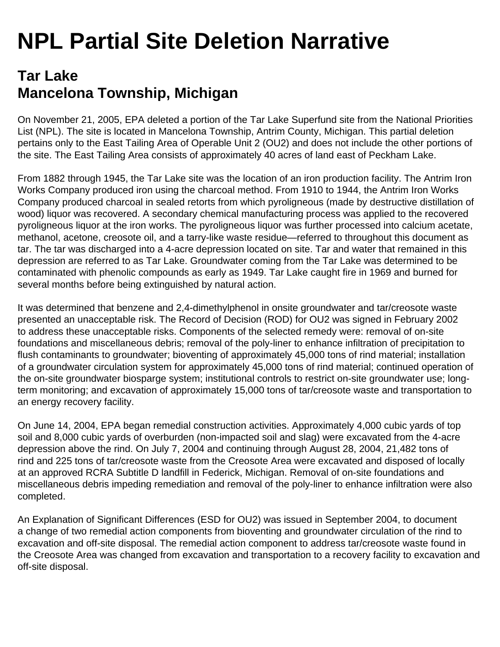## **NPL Partial Site Deletion Narrative**

## **Tar Lake Mancelona Township, Michigan**

On November 21, 2005, EPA deleted a portion of the Tar Lake Superfund site from the National Priorities List (NPL). The site is located in Mancelona Township, Antrim County, Michigan. This partial deletion pertains only to the East Tailing Area of Operable Unit 2 (OU2) and does not include the other portions of the site. The East Tailing Area consists of approximately 40 acres of land east of Peckham Lake.

From 1882 through 1945, the Tar Lake site was the location of an iron production facility. The Antrim Iron Works Company produced iron using the charcoal method. From 1910 to 1944, the Antrim Iron Works Company produced charcoal in sealed retorts from which pyroligneous (made by destructive distillation of wood) liquor was recovered. A secondary chemical manufacturing process was applied to the recovered pyroligneous liquor at the iron works. The pyroligneous liquor was further processed into calcium acetate, methanol, acetone, creosote oil, and a tarry-like waste residue—referred to throughout this document as tar. The tar was discharged into a 4-acre depression located on site. Tar and water that remained in this depression are referred to as Tar Lake. Groundwater coming from the Tar Lake was determined to be contaminated with phenolic compounds as early as 1949. Tar Lake caught fire in 1969 and burned for several months before being extinguished by natural action.

It was determined that benzene and 2,4-dimethylphenol in onsite groundwater and tar/creosote waste presented an unacceptable risk. The Record of Decision (ROD) for OU2 was signed in February 2002 to address these unacceptable risks. Components of the selected remedy were: removal of on-site foundations and miscellaneous debris; removal of the poly-liner to enhance infiltration of precipitation to flush contaminants to groundwater; bioventing of approximately 45,000 tons of rind material; installation of a groundwater circulation system for approximately 45,000 tons of rind material; continued operation of the on-site groundwater biosparge system; institutional controls to restrict on-site groundwater use; longterm monitoring; and excavation of approximately 15,000 tons of tar/creosote waste and transportation to an energy recovery facility.

On June 14, 2004, EPA began remedial construction activities. Approximately 4,000 cubic yards of top soil and 8,000 cubic yards of overburden (non-impacted soil and slag) were excavated from the 4-acre depression above the rind. On July 7, 2004 and continuing through August 28, 2004, 21,482 tons of rind and 225 tons of tar/creosote waste from the Creosote Area were excavated and disposed of locally at an approved RCRA Subtitle D landfill in Federick, Michigan. Removal of on-site foundations and miscellaneous debris impeding remediation and removal of the poly-liner to enhance infiltration were also completed.

An Explanation of Significant Differences (ESD for OU2) was issued in September 2004, to document a change of two remedial action components from bioventing and groundwater circulation of the rind to excavation and off-site disposal. The remedial action component to address tar/creosote waste found in the Creosote Area was changed from excavation and transportation to a recovery facility to excavation and off-site disposal.